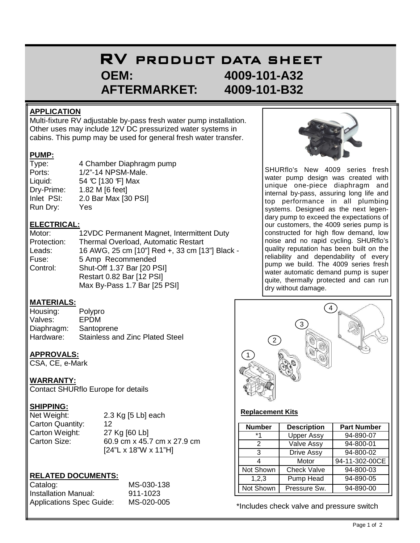# RV PRODUCT DATA SHEET  **OEM: 4009-101-A32 AFTERMARKET: 4009-101-B32**

### **APPLICATION**

Multi-fixture RV adjustable by-pass fresh water pump installation. Other uses may include 12V DC pressurized water systems in cabins. This pump may be used for general fresh water transfer.

### **PUMP:**

| Type:      | 4 Chamber Diaphragm pump |
|------------|--------------------------|
| Ports:     | 1/2"-14 NPSM-Male.       |
| Liquid:    | 54 °C [130 °F] Max       |
| Dry-Prime: | 1.82 M [6 feet]          |
| Inlet PSI: | 2.0 Bar Max [30 PSI]     |
| Run Dry:   | Yes                      |

### **ELECTRICAL:**

| Motor:      | 12VDC Permanent Magnet, Intermittent Duty      |
|-------------|------------------------------------------------|
| Protection: | Thermal Overload, Automatic Restart            |
| Leads:      | 16 AWG, 25 cm [10"] Red +, 33 cm [13"] Black - |
| Fuse:       | 5 Amp Recommended                              |
| Control:    | Shut-Off 1.37 Bar [20 PSI]                     |
|             | Restart 0.82 Bar [12 PSI]                      |
|             | Max By-Pass 1.7 Bar [25 PSI]                   |

### **MATERIALS:**

| Housing:   | Polypro                                |
|------------|----------------------------------------|
| Valves:    | EPDM                                   |
| Diaphragm: | Santoprene                             |
| Hardware:  | <b>Stainless and Zinc Plated Steel</b> |

### **APPROVALS:**

CSA, CE, e-Mark

### **WARRANTY:**

Contact SHURflo Europe for details

## **SHIPPING:**

| Net Weight:      | 2.3 $Kg$ [5 Lb] each             |
|------------------|----------------------------------|
| Carton Quantity: | 12                               |
| Carton Weight:   | 27 Kg [60 Lb]                    |
| Carton Size:     | 60.9 cm x 45.7 cm x 27.9 cm      |
|                  | $[24"L \times 18"W \times 11"H]$ |

## **RELATED DOCUMENTS:**

| Catalog:                        | MS-030-138 |  |
|---------------------------------|------------|--|
| Installation Manual:            | 911-1023   |  |
| <b>Applications Spec Guide:</b> | MS-020-005 |  |



SHURflo's New 4009 series fresh water pump design was created with unique one-piece diaphragm and internal by-pass, assuring long life and top performance in all plumbing systems. Designed as the next legendary pump to exceed the expectations of our customers, the 4009 series pump is constructed for high flow demand, low noise and no rapid cycling. SHURflo's quality reputation has been built on the reliability and dependability of every pump we build. The 4009 series fresh water automatic demand pump is super quite, thermally protected and can run dry without damage.



#### **Replacement Kits**

| <b>Number</b> | <b>Description</b> | <b>Part Number</b> |
|---------------|--------------------|--------------------|
| $*1$          | <b>Upper Assy</b>  | 94-890-07          |
| 2             | <b>Valve Assy</b>  | 94-800-01          |
| 3             | <b>Drive Assy</b>  | 94-800-02          |
|               | Motor              | 94-11-302-00CE     |
| Not Shown     | <b>Check Valve</b> | 94-800-03          |
| 1,2,3         | Pump Head          | 94-890-05          |
| Not Shown     | Pressure Sw.       | 94-890-00          |

\*Includes check valve and pressure switch